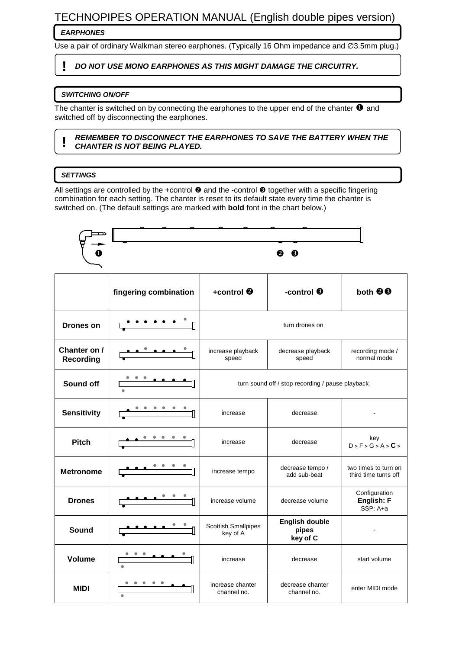# TECHNOPIPES OPERATION MANUAL (English double pipes version)

## **EARPHONES**

Use a pair of ordinary Walkman stereo earphones. (Typically 16 Ohm impedance and ∅3.5mm plug.)

## **! DO NOT USE MONO EARPHONES AS THIS MIGHT DAMAGE THE CIRCUITRY.**

### **SWITCHING ON/OFF**

The chanter is switched on by connecting the earphones to the upper end of the chanter  $\bullet$  and switched off by disconnecting the earphones.

#### **! REMEMBER TO DISCONNECT THE EARPHONES TO SAVE THE BATTERY WHEN THE CHANTER IS NOT BEING PLAYED.**

### **SETTINGS**

All settings are controlled by the +control  $\bullet$  and the -control  $\bullet$  together with a specific fingering combination for each setting. The chanter is reset to its default state every time the chanter is switched on. (The default settings are marked with **bold** font in the chart below.)

| O                                | 00                    |                                                  |                                            |                                              |  |  |  |  |  |  |  |  |
|----------------------------------|-----------------------|--------------------------------------------------|--------------------------------------------|----------------------------------------------|--|--|--|--|--|--|--|--|
|                                  | fingering combination | +control <sup>®</sup>                            | -control <sup>6</sup>                      | both <sup>@</sup>                            |  |  |  |  |  |  |  |  |
| <b>Drones on</b>                 |                       | turn drones on                                   |                                            |                                              |  |  |  |  |  |  |  |  |
| Chanter on /<br><b>Recording</b> |                       | increase playback<br>speed                       | decrease playback<br>speed                 | recording mode /<br>normal mode              |  |  |  |  |  |  |  |  |
| Sound off                        |                       | turn sound off / stop recording / pause playback |                                            |                                              |  |  |  |  |  |  |  |  |
| <b>Sensitivity</b>               |                       | increase                                         | decrease                                   |                                              |  |  |  |  |  |  |  |  |
| <b>Pitch</b>                     |                       | increase                                         | decrease                                   | key<br>D > F > G > A > C >                   |  |  |  |  |  |  |  |  |
| <b>Metronome</b>                 |                       | increase tempo                                   | decrease tempo /<br>add sub-beat           | two times to turn on<br>third time turns off |  |  |  |  |  |  |  |  |
| <b>Drones</b>                    |                       | increase volume                                  | decrease volume                            | Configuration<br>English: F<br>SSP: A+a      |  |  |  |  |  |  |  |  |
| Sound                            |                       | <b>Scottish Smallpipes</b><br>key of A           | <b>English double</b><br>pipes<br>key of C |                                              |  |  |  |  |  |  |  |  |
| <b>Volume</b>                    |                       | increase                                         | decrease                                   | start volume                                 |  |  |  |  |  |  |  |  |
| <b>MIDI</b>                      | $\bullet$             | increase chanter<br>channel no.                  | decrease chanter<br>channel no.            | enter MIDI mode                              |  |  |  |  |  |  |  |  |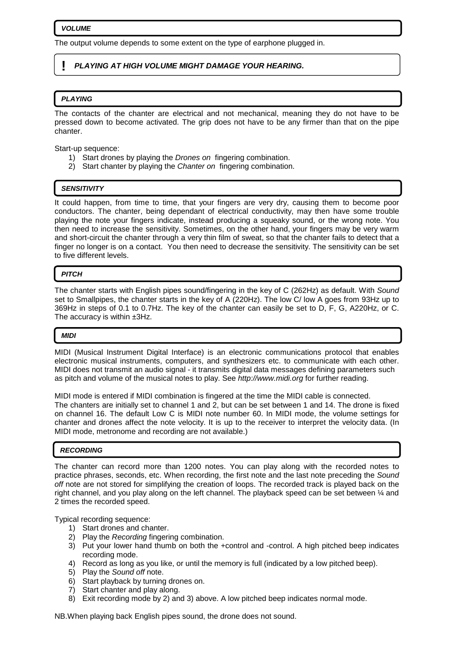#### **VOLUME**

The output volume depends to some extent on the type of earphone plugged in.

### **! PLAYING AT HIGH VOLUME MIGHT DAMAGE YOUR HEARING.**

#### **PLAYING**

The contacts of the chanter are electrical and not mechanical, meaning they do not have to be pressed down to become activated. The grip does not have to be any firmer than that on the pipe chanter.

Start-up sequence:

- 1) Start drones by playing the Drones on fingering combination.
- 2) Start chanter by playing the Chanter on fingering combination.

#### **SENSITIVITY**

It could happen, from time to time, that your fingers are very dry, causing them to become poor conductors. The chanter, being dependant of electrical conductivity, may then have some trouble playing the note your fingers indicate, instead producing a squeaky sound, or the wrong note. You then need to increase the sensitivity. Sometimes, on the other hand, your fingers may be very warm and short-circuit the chanter through a very thin film of sweat, so that the chanter fails to detect that a finger no longer is on a contact. You then need to decrease the sensitivity. The sensitivity can be set to five different levels.

#### **PITCH**

The chanter starts with English pipes sound/fingering in the key of C (262Hz) as default. With Sound set to Smallpipes, the chanter starts in the key of A (220Hz). The low C/ low A goes from 93Hz up to 369Hz in steps of 0.1 to 0.7Hz. The key of the chanter can easily be set to D, F, G, A220Hz, or C. The accuracy is within ±3Hz.

#### **MIDI**

MIDI (Musical Instrument Digital Interface) is an electronic communications protocol that enables electronic musical instruments, computers, and synthesizers etc. to communicate with each other. MIDI does not transmit an audio signal - it transmits digital data messages defining parameters such as pitch and volume of the musical notes to play. See http://www.midi.org for further reading.

MIDI mode is entered if MIDI combination is fingered at the time the MIDI cable is connected. The chanters are initially set to channel 1 and 2, but can be set between 1 and 14. The drone is fixed on channel 16. The default Low C is MIDI note number 60. In MIDI mode, the volume settings for chanter and drones affect the note velocity. It is up to the receiver to interpret the velocity data. (In MIDI mode, metronome and recording are not available.)

#### **RECORDING**

The chanter can record more than 1200 notes. You can play along with the recorded notes to practice phrases, seconds, etc. When recording, the first note and the last note preceding the Sound off note are not stored for simplifying the creation of loops. The recorded track is played back on the right channel, and you play along on the left channel. The playback speed can be set between ¼ and 2 times the recorded speed.

Typical recording sequence:

- 1) Start drones and chanter.
- 2) Play the Recording fingering combination.
- 3) Put your lower hand thumb on both the +control and -control. A high pitched beep indicates recording mode.
- 4) Record as long as you like, or until the memory is full (indicated by a low pitched beep).
- 5) Play the Sound off note.
- 6) Start playback by turning drones on.
- 7) Start chanter and play along.
- 8) Exit recording mode by 2) and 3) above. A low pitched beep indicates normal mode.

NB.When playing back English pipes sound, the drone does not sound.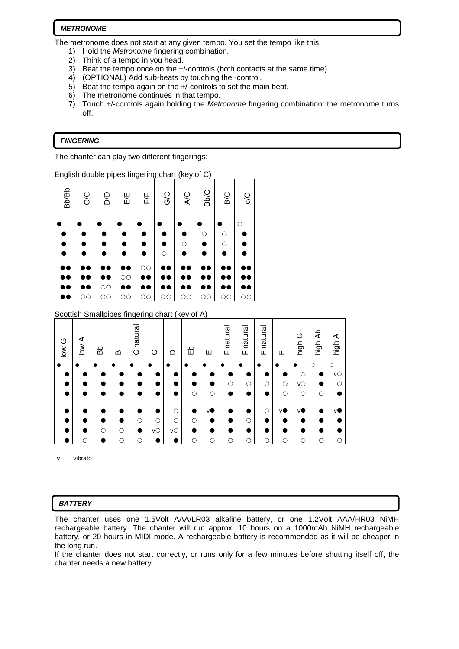#### **METRONOME**

The metronome does not start at any given tempo. You set the tempo like this:

- 1) Hold the Metronome fingering combination.
- 2) Think of a tempo in you head.
- 3) Beat the tempo once on the +/-controls (both contacts at the same time).
- 4) (OPTIONAL) Add sub-beats by touching the -control.
- 5) Beat the tempo again on the +/-controls to set the main beat.
- 6) The metronome continues in that tempo.
- 7) Touch +/-controls again holding the Metronome fingering combination: the metronome turns off.

### **FINGERING**

The chanter can play two different fingerings:

English double pipes fingering chart (key of C)

| <b>Bb/Bb</b> | <b>C/C</b> | DD                 | E/E                 | F/F     | G/C                 | <b>A/C</b>          | Bb/C    | B/C          | <b>C/C</b> |
|--------------|------------|--------------------|---------------------|---------|---------------------|---------------------|---------|--------------|------------|
|              |            |                    |                     |         |                     | $\circ$             | $\circ$ | O<br>$\circ$ | $\circ$    |
|              |            |                    |                     |         | $\circ$             |                     |         |              |            |
| œ            |            |                    | $\circlearrowright$ | $\circ$ |                     |                     |         |              |            |
|              | OС         | $\circ$<br>$\circ$ | $\circlearrowright$ | $\circ$ | $\circlearrowright$ | $\circlearrowright$ | OC      | $\circ$      | $\circ$    |

#### Scottish Smallpipes fingering chart (key of A)

| O<br>$\sum_{i=1}^{\infty}$ | ⋖<br>$\geq$ | ЪĞ         | മ | natural<br>$\circ$ | ပ           | ≏       | 띵         | ш         | natural<br>ட | natural<br>ட | natural<br>ட | ட       | O<br>high | €<br>high | ⋖<br>high           |
|----------------------------|-------------|------------|---|--------------------|-------------|---------|-----------|-----------|--------------|--------------|--------------|---------|-----------|-----------|---------------------|
|                            | $\bullet$   |            |   | $\bullet$          | $\bullet$   |         | $\bullet$ | $\bullet$ |              |              | $\bullet$    |         |           | $\circ$   | $\circlearrowright$ |
|                            |             |            |   |                    |             |         |           |           |              |              |              |         | $\circ$   |           | vO                  |
|                            |             |            |   |                    |             |         |           |           | О            | $\circ$      | O            | $\circ$ | VO        |           |                     |
|                            |             |            |   |                    |             |         | $\circ$   | O         |              | ٠            |              | ∩       | $\circ$   | О         |                     |
|                            |             |            |   |                    |             | О       |           | vO        |              |              | $\circ$      | ٧O      | vO        |           | v                   |
|                            | ٠           |            |   | $\circ$            | $\circ$     | $\circ$ | $\circ$   | c         |              | $\circ$      | e            |         |           |           |                     |
|                            |             | $\bigcirc$ | О | D                  | $V\bigcirc$ | VO      | D         | œ         |              | ٠            |              |         |           |           |                     |
|                            | О           |            | О | О                  |             |         | О         | C         | О            | $\circ$      | C            | О       | О         | O         |                     |

vibrato

### **BATTERY**

The chanter uses one 1.5Volt AAA/LR03 alkaline battery, or one 1.2Volt AAA/HR03 NiMH rechargeable battery. The chanter will run approx. 10 hours on a 1000mAh NiMH rechargeable battery, or 20 hours in MIDI mode. A rechargeable battery is recommended as it will be cheaper in the long run.

If the chanter does not start correctly, or runs only for a few minutes before shutting itself off, the chanter needs a new battery.